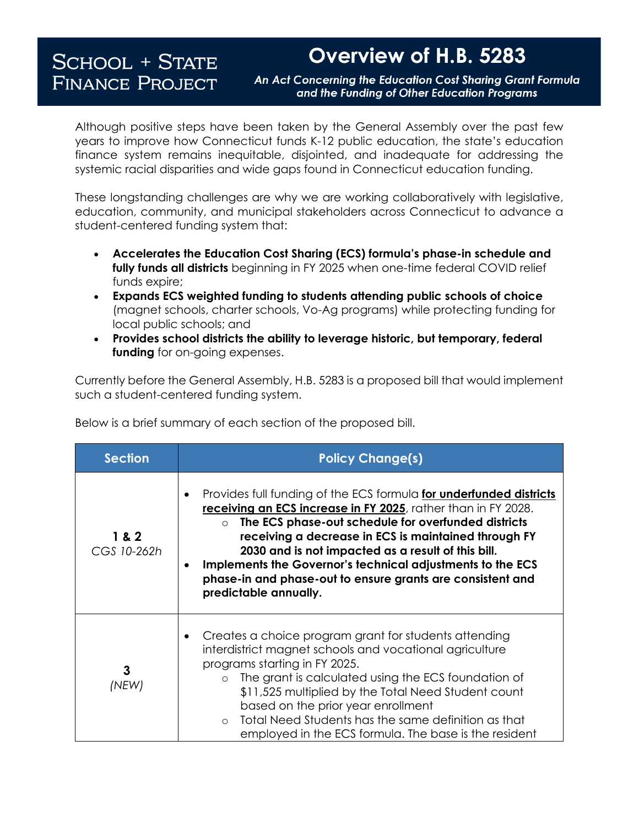## **SCHOOL + STATE FINANCE PROJECT**

## Overview of H.B. 5283

An Act Concerning the Education Cost Sharing Grant Formula and the Funding of Other Education Programs

Although positive steps have been taken by the General Assembly over the past few years to improve how Connecticut funds K-12 public education, the state's education finance system remains inequitable, disjointed, and inadequate for addressing the systemic racial disparities and wide gaps found in Connecticut education funding.

These longstanding challenges are why we are working collaboratively with legislative, education, community, and municipal stakeholders across Connecticut to advance a student-centered funding system that:

- **Accelerates the Education Cost Sharing (ECS) formula's phase-in schedule and fully funds all districts** beginning in FY 2025 when one-time federal COVID relief funds expire;
- **Expands ECS weighted funding to students attending public schools of choice**  (magnet schools, charter schools, Vo-Ag programs) while protecting funding for local public schools; and
- **Provides school districts the ability to leverage historic, but temporary, federal funding** for on-going expenses.

Currently before the General Assembly, H.B. 5283 is a proposed bill that would implement such a student-centered funding system.

| <b>Section</b>       | <b>Policy Change(s)</b>                                                                                                                                                                                                                                                                                                                                                                                                                                            |
|----------------------|--------------------------------------------------------------------------------------------------------------------------------------------------------------------------------------------------------------------------------------------------------------------------------------------------------------------------------------------------------------------------------------------------------------------------------------------------------------------|
| 1 & 2<br>CGS 10-262h | Provides full funding of the ECS formula for underfunded districts<br>receiving an ECS increase in FY 2025, rather than in FY 2028.<br>The ECS phase-out schedule for overfunded districts<br>receiving a decrease in ECS is maintained through FY<br>2030 and is not impacted as a result of this bill.<br>Implements the Governor's technical adjustments to the ECS<br>٠<br>phase-in and phase-out to ensure grants are consistent and<br>predictable annually. |
| 3<br>(NEW)           | Creates a choice program grant for students attending<br>interdistrict magnet schools and vocational agriculture<br>programs starting in FY 2025.<br>The grant is calculated using the ECS foundation of<br>$\circ$<br>\$11,525 multiplied by the Total Need Student count<br>based on the prior year enrollment<br>Total Need Students has the same definition as that<br>employed in the ECS formula. The base is the resident                                   |

Below is a brief summary of each section of the proposed bill.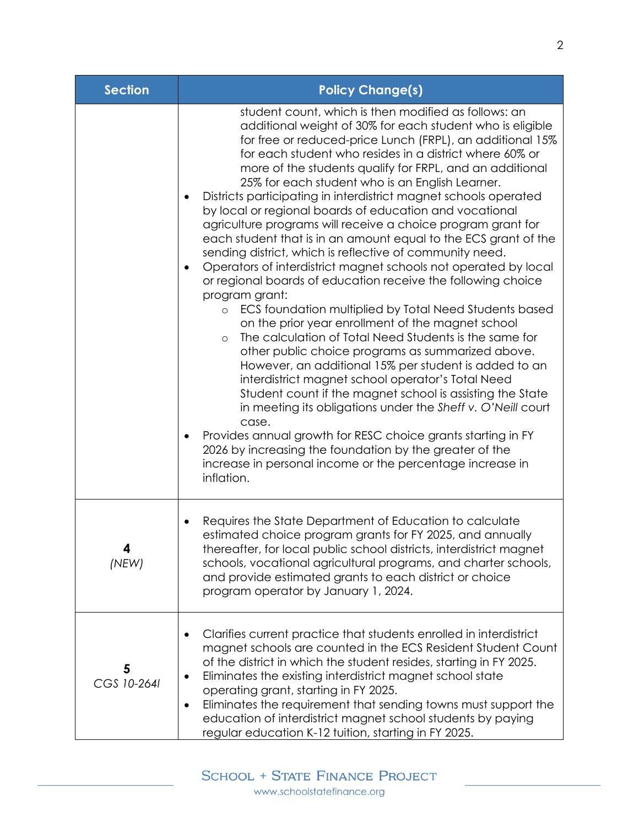| <b>Section</b>   | <b>Policy Change(s)</b>                                                                                                                                                                                                                                                                                                                                                                                                                                                                                                                                                                                                                                                                                                                                                                                                                                                                                                                                                                                                                                                                                                                                                                                                                                                                                                                                                                                                                                                                                                                                  |
|------------------|----------------------------------------------------------------------------------------------------------------------------------------------------------------------------------------------------------------------------------------------------------------------------------------------------------------------------------------------------------------------------------------------------------------------------------------------------------------------------------------------------------------------------------------------------------------------------------------------------------------------------------------------------------------------------------------------------------------------------------------------------------------------------------------------------------------------------------------------------------------------------------------------------------------------------------------------------------------------------------------------------------------------------------------------------------------------------------------------------------------------------------------------------------------------------------------------------------------------------------------------------------------------------------------------------------------------------------------------------------------------------------------------------------------------------------------------------------------------------------------------------------------------------------------------------------|
|                  | student count, which is then modified as follows: an<br>additional weight of 30% for each student who is eligible<br>for free or reduced-price Lunch (FRPL), an additional 15%<br>for each student who resides in a district where 60% or<br>more of the students qualify for FRPL, and an additional<br>25% for each student who is an English Learner.<br>Districts participating in interdistrict magnet schools operated<br>by local or regional boards of education and vocational<br>agriculture programs will receive a choice program grant for<br>each student that is in an amount equal to the ECS grant of the<br>sending district, which is reflective of community need.<br>Operators of interdistrict magnet schools not operated by local<br>or regional boards of education receive the following choice<br>program grant:<br>ECS foundation multiplied by Total Need Students based<br>$\circ$<br>on the prior year enrollment of the magnet school<br>The calculation of Total Need Students is the same for<br>$\circ$<br>other public choice programs as summarized above.<br>However, an additional 15% per student is added to an<br>interdistrict magnet school operator's Total Need<br>Student count if the magnet school is assisting the State<br>in meeting its obligations under the Sheff v. O'Neill court<br>case.<br>Provides annual growth for RESC choice grants starting in FY<br>2026 by increasing the foundation by the greater of the<br>increase in personal income or the percentage increase in<br>inflation. |
| 4<br>(NEW)       | Requires the State Department of Education to calculate<br>estimated choice program grants for FY 2025, and annually<br>thereafter, for local public school districts, interdistrict magnet<br>schools, vocational agricultural programs, and charter schools,<br>and provide estimated grants to each district or choice<br>program operator by January 1, 2024.                                                                                                                                                                                                                                                                                                                                                                                                                                                                                                                                                                                                                                                                                                                                                                                                                                                                                                                                                                                                                                                                                                                                                                                        |
| 5<br>CGS 10-2641 | Clarifies current practice that students enrolled in interdistrict<br>magnet schools are counted in the ECS Resident Student Count<br>of the district in which the student resides, starting in FY 2025.<br>Eliminates the existing interdistrict magnet school state<br>operating grant, starting in FY 2025.<br>Eliminates the requirement that sending towns must support the<br>$\bullet$<br>education of interdistrict magnet school students by paying<br>regular education K-12 tuition, starting in FY 2025.                                                                                                                                                                                                                                                                                                                                                                                                                                                                                                                                                                                                                                                                                                                                                                                                                                                                                                                                                                                                                                     |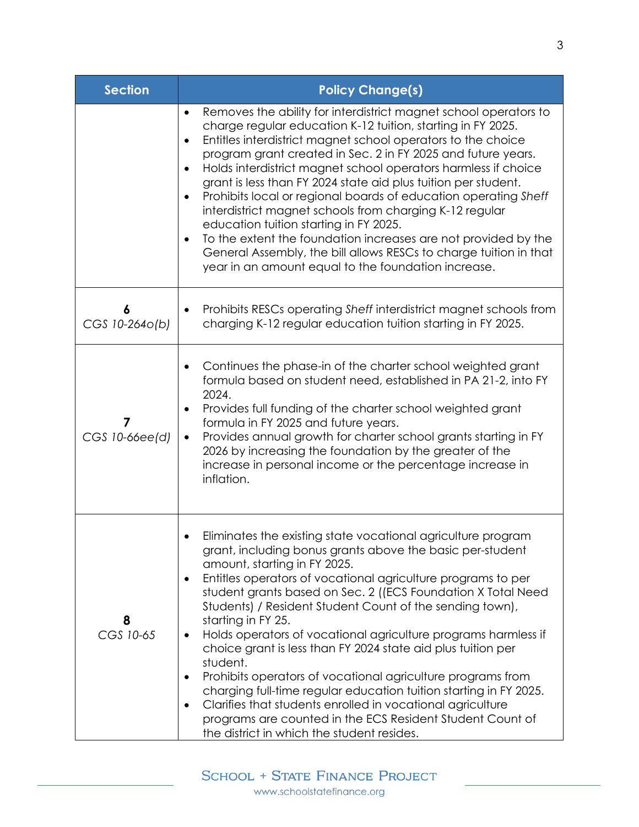| <b>Section</b>      | <b>Policy Change(s)</b>                                                                                                                                                                                                                                                                                                                                                                                                                                                                                                                                                                                                                                                                                                                                                                                                                             |
|---------------------|-----------------------------------------------------------------------------------------------------------------------------------------------------------------------------------------------------------------------------------------------------------------------------------------------------------------------------------------------------------------------------------------------------------------------------------------------------------------------------------------------------------------------------------------------------------------------------------------------------------------------------------------------------------------------------------------------------------------------------------------------------------------------------------------------------------------------------------------------------|
|                     | Removes the ability for interdistrict magnet school operators to<br>$\bullet$<br>charge regular education K-12 tuition, starting in FY 2025.<br>Entitles interdistrict magnet school operators to the choice<br>$\bullet$<br>program grant created in Sec. 2 in FY 2025 and future years.<br>Holds interdistrict magnet school operators harmless if choice<br>grant is less than FY 2024 state aid plus tuition per student.<br>Prohibits local or regional boards of education operating Sheff<br>interdistrict magnet schools from charging K-12 regular<br>education tuition starting in FY 2025.<br>To the extent the foundation increases are not provided by the<br>General Assembly, the bill allows RESCs to charge tuition in that<br>year in an amount equal to the foundation increase.                                                 |
| 6<br>CGS 10-2640(b) | Prohibits RESCs operating Sheff interdistrict magnet schools from<br>charging K-12 regular education tuition starting in FY 2025.                                                                                                                                                                                                                                                                                                                                                                                                                                                                                                                                                                                                                                                                                                                   |
| CGS 10-66ee(d)      | Continues the phase-in of the charter school weighted grant<br>formula based on student need, established in PA 21-2, into FY<br>2024.<br>Provides full funding of the charter school weighted grant<br>formula in FY 2025 and future years.<br>Provides annual growth for charter school grants starting in FY<br>$\bullet$<br>2026 by increasing the foundation by the greater of the<br>increase in personal income or the percentage increase in<br>inflation.                                                                                                                                                                                                                                                                                                                                                                                  |
| 8<br>CGS 10-65      | Eliminates the existing state vocational agriculture program<br>grant, including bonus grants above the basic per-student<br>amount, starting in FY 2025.<br>Entitles operators of vocational agriculture programs to per<br>student grants based on Sec. 2 ((ECS Foundation X Total Need<br>Students) / Resident Student Count of the sending town),<br>starting in FY 25.<br>Holds operators of vocational agriculture programs harmless if<br>choice grant is less than FY 2024 state aid plus tuition per<br>student.<br>Prohibits operators of vocational agriculture programs from<br>charging full-time regular education tuition starting in FY 2025.<br>Clarifies that students enrolled in vocational agriculture<br>$\bullet$<br>programs are counted in the ECS Resident Student Count of<br>the district in which the student resides. |